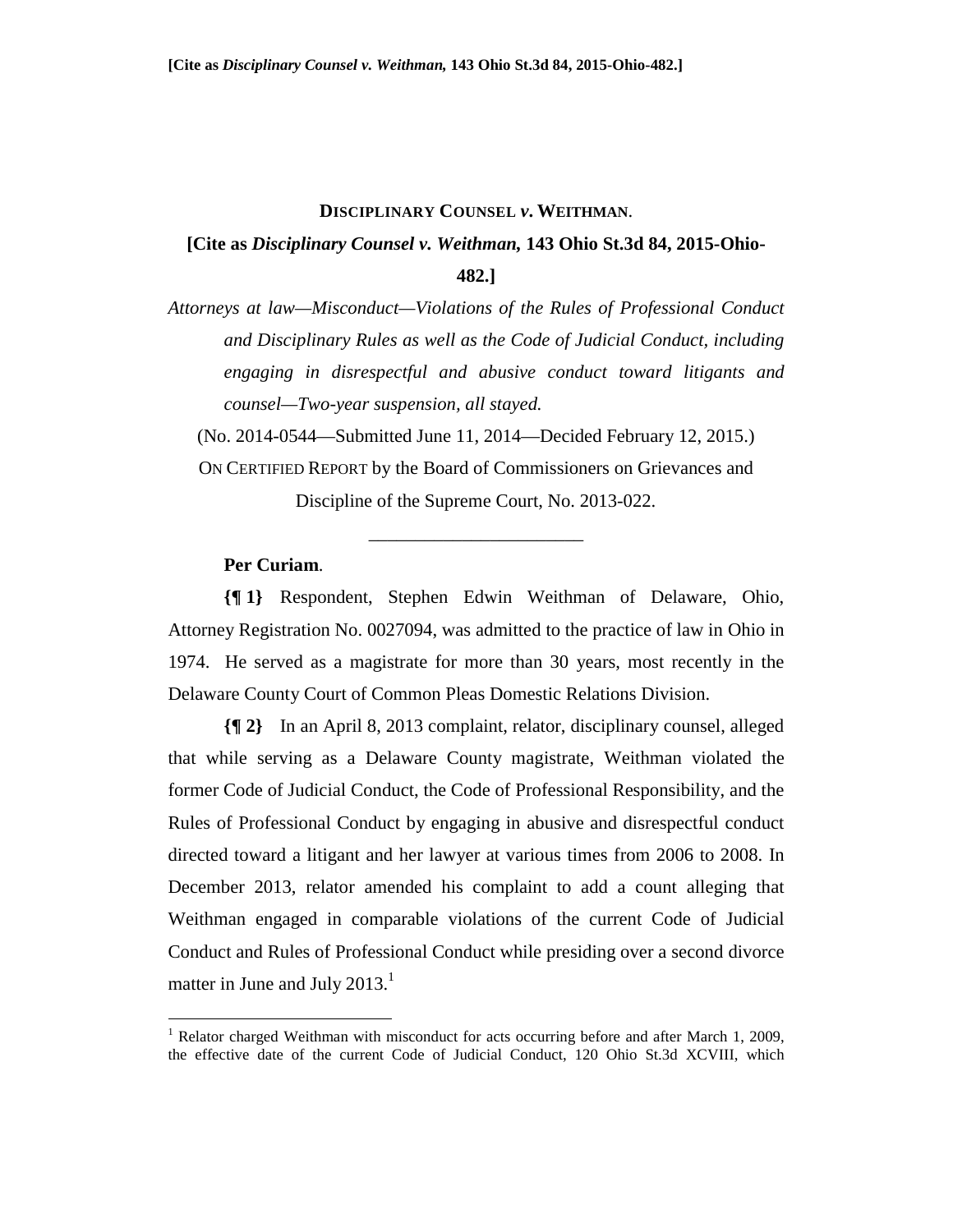#### **DISCIPLINARY COUNSEL** *v***. WEITHMAN**.

# **[Cite as** *Disciplinary Counsel v. Weithman,* **143 Ohio St.3d 84, 2015-Ohio-482.]**

*Attorneys at law—Misconduct—Violations of the Rules of Professional Conduct and Disciplinary Rules as well as the Code of Judicial Conduct, including engaging in disrespectful and abusive conduct toward litigants and counsel—Two-year suspension, all stayed.* 

(No. 2014-0544—Submitted June 11, 2014—Decided February 12, 2015.)

ON CERTIFIED REPORT by the Board of Commissioners on Grievances and Discipline of the Supreme Court, No. 2013-022.

\_\_\_\_\_\_\_\_\_\_\_\_\_\_\_\_\_\_\_\_\_\_\_

## **Per Curiam**.

1

**{¶ 1}** Respondent, Stephen Edwin Weithman of Delaware, Ohio, Attorney Registration No. 0027094, was admitted to the practice of law in Ohio in 1974. He served as a magistrate for more than 30 years, most recently in the Delaware County Court of Common Pleas Domestic Relations Division.

**{¶ 2}** In an April 8, 2013 complaint, relator, disciplinary counsel, alleged that while serving as a Delaware County magistrate, Weithman violated the former Code of Judicial Conduct, the Code of Professional Responsibility, and the Rules of Professional Conduct by engaging in abusive and disrespectful conduct directed toward a litigant and her lawyer at various times from 2006 to 2008. In December 2013, relator amended his complaint to add a count alleging that Weithman engaged in comparable violations of the current Code of Judicial Conduct and Rules of Professional Conduct while presiding over a second divorce matter in June and July 2013. $<sup>1</sup>$ </sup>

<sup>&</sup>lt;sup>1</sup> Relator charged Weithman with misconduct for acts occurring before and after March 1, 2009, the effective date of the current Code of Judicial Conduct, 120 Ohio St.3d XCVIII, which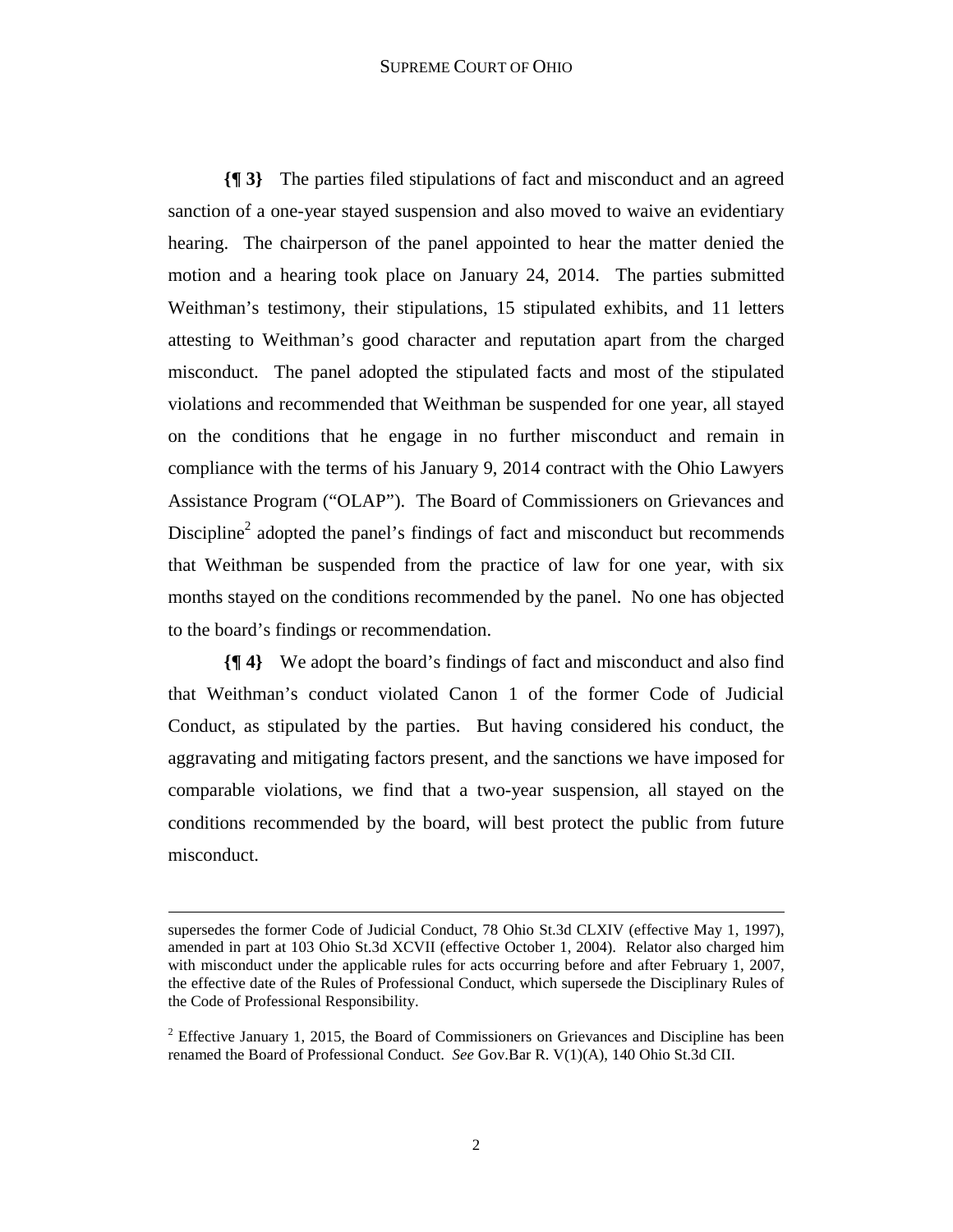#### SUPREME COURT OF OHIO

**{¶ 3}** The parties filed stipulations of fact and misconduct and an agreed sanction of a one-year stayed suspension and also moved to waive an evidentiary hearing. The chairperson of the panel appointed to hear the matter denied the motion and a hearing took place on January 24, 2014. The parties submitted Weithman's testimony, their stipulations, 15 stipulated exhibits, and 11 letters attesting to Weithman's good character and reputation apart from the charged misconduct. The panel adopted the stipulated facts and most of the stipulated violations and recommended that Weithman be suspended for one year, all stayed on the conditions that he engage in no further misconduct and remain in compliance with the terms of his January 9, 2014 contract with the Ohio Lawyers Assistance Program ("OLAP"). The Board of Commissioners on Grievances and Discipline<sup>2</sup> adopted the panel's findings of fact and misconduct but recommends that Weithman be suspended from the practice of law for one year, with six months stayed on the conditions recommended by the panel. No one has objected to the board's findings or recommendation.

**{¶ 4}** We adopt the board's findings of fact and misconduct and also find that Weithman's conduct violated Canon 1 of the former Code of Judicial Conduct, as stipulated by the parties. But having considered his conduct, the aggravating and mitigating factors present, and the sanctions we have imposed for comparable violations, we find that a two-year suspension, all stayed on the conditions recommended by the board, will best protect the public from future misconduct.

supersedes the former Code of Judicial Conduct, 78 Ohio St.3d CLXIV (effective May 1, 1997), amended in part at 103 Ohio St.3d XCVII (effective October 1, 2004). Relator also charged him with misconduct under the applicable rules for acts occurring before and after February 1, 2007, the effective date of the Rules of Professional Conduct, which supersede the Disciplinary Rules of the Code of Professional Responsibility.

<sup>&</sup>lt;sup>2</sup> Effective January 1, 2015, the Board of Commissioners on Grievances and Discipline has been renamed the Board of Professional Conduct. *See* Gov.Bar R. V(1)(A), 140 Ohio St.3d CII.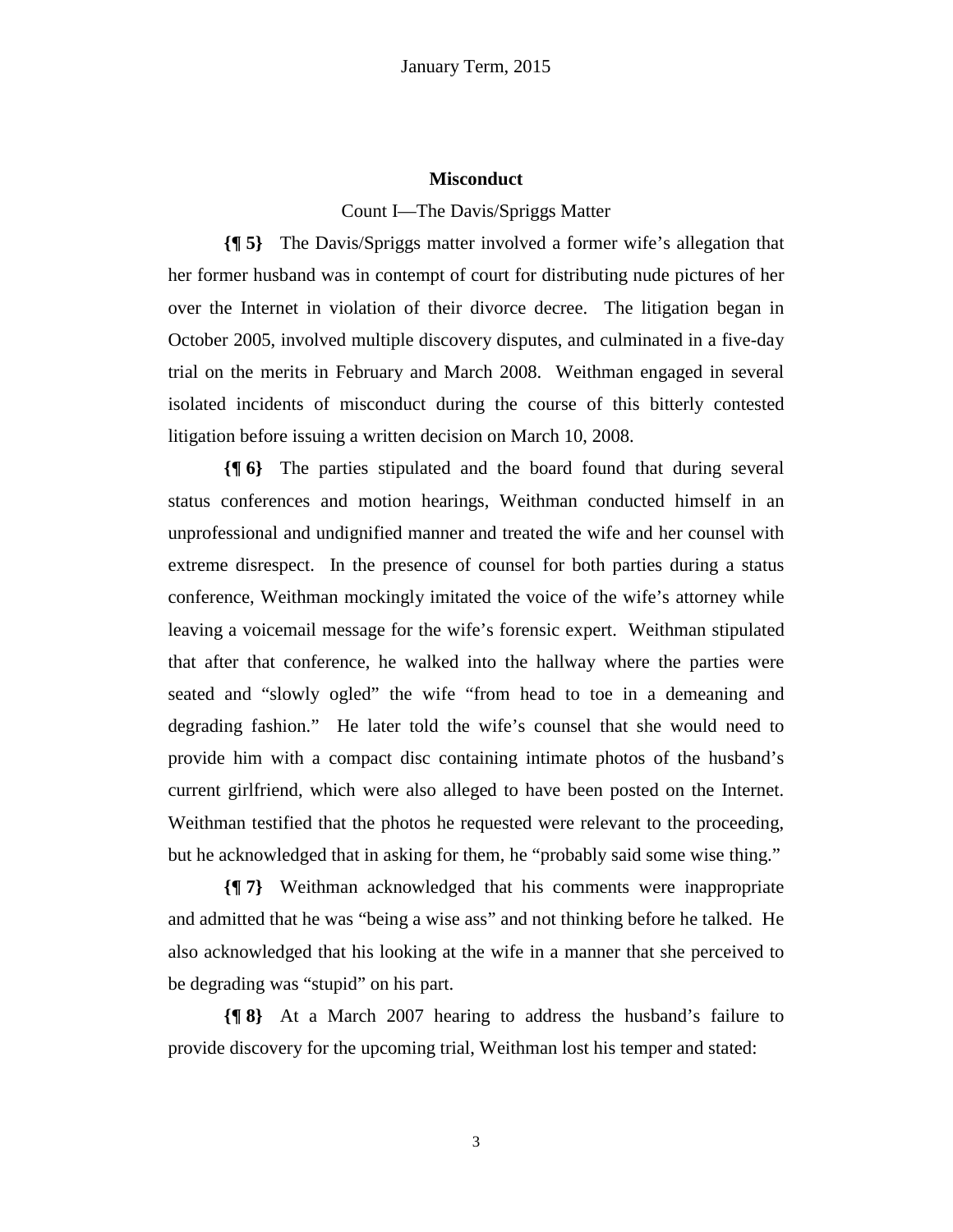### **Misconduct**

### Count I—The Davis/Spriggs Matter

**{¶ 5}** The Davis/Spriggs matter involved a former wife's allegation that her former husband was in contempt of court for distributing nude pictures of her over the Internet in violation of their divorce decree. The litigation began in October 2005, involved multiple discovery disputes, and culminated in a five-day trial on the merits in February and March 2008. Weithman engaged in several isolated incidents of misconduct during the course of this bitterly contested litigation before issuing a written decision on March 10, 2008.

**{¶ 6}** The parties stipulated and the board found that during several status conferences and motion hearings, Weithman conducted himself in an unprofessional and undignified manner and treated the wife and her counsel with extreme disrespect. In the presence of counsel for both parties during a status conference, Weithman mockingly imitated the voice of the wife's attorney while leaving a voicemail message for the wife's forensic expert. Weithman stipulated that after that conference, he walked into the hallway where the parties were seated and "slowly ogled" the wife "from head to toe in a demeaning and degrading fashion." He later told the wife's counsel that she would need to provide him with a compact disc containing intimate photos of the husband's current girlfriend, which were also alleged to have been posted on the Internet. Weithman testified that the photos he requested were relevant to the proceeding, but he acknowledged that in asking for them, he "probably said some wise thing."

**{¶ 7}** Weithman acknowledged that his comments were inappropriate and admitted that he was "being a wise ass" and not thinking before he talked. He also acknowledged that his looking at the wife in a manner that she perceived to be degrading was "stupid" on his part.

**{¶ 8}** At a March 2007 hearing to address the husband's failure to provide discovery for the upcoming trial, Weithman lost his temper and stated:

3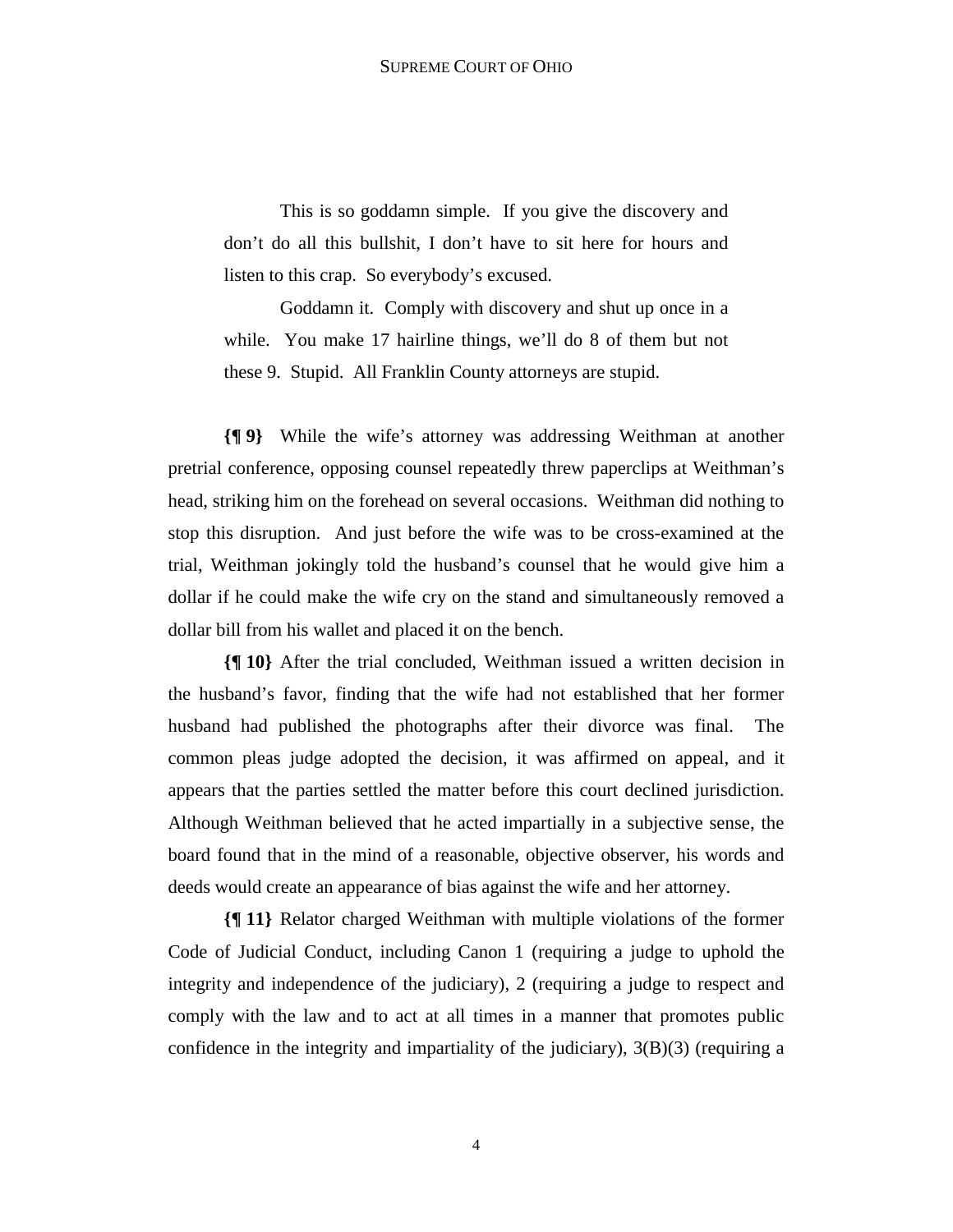This is so goddamn simple. If you give the discovery and don't do all this bullshit, I don't have to sit here for hours and listen to this crap. So everybody's excused.

Goddamn it. Comply with discovery and shut up once in a while. You make 17 hairline things, we'll do 8 of them but not these 9. Stupid. All Franklin County attorneys are stupid.

**{¶ 9}** While the wife's attorney was addressing Weithman at another pretrial conference, opposing counsel repeatedly threw paperclips at Weithman's head, striking him on the forehead on several occasions. Weithman did nothing to stop this disruption. And just before the wife was to be cross-examined at the trial, Weithman jokingly told the husband's counsel that he would give him a dollar if he could make the wife cry on the stand and simultaneously removed a dollar bill from his wallet and placed it on the bench.

**{¶ 10}** After the trial concluded, Weithman issued a written decision in the husband's favor, finding that the wife had not established that her former husband had published the photographs after their divorce was final. The common pleas judge adopted the decision, it was affirmed on appeal, and it appears that the parties settled the matter before this court declined jurisdiction. Although Weithman believed that he acted impartially in a subjective sense, the board found that in the mind of a reasonable, objective observer, his words and deeds would create an appearance of bias against the wife and her attorney.

**{¶ 11}** Relator charged Weithman with multiple violations of the former Code of Judicial Conduct, including Canon 1 (requiring a judge to uphold the integrity and independence of the judiciary), 2 (requiring a judge to respect and comply with the law and to act at all times in a manner that promotes public confidence in the integrity and impartiality of the judiciary), 3(B)(3) (requiring a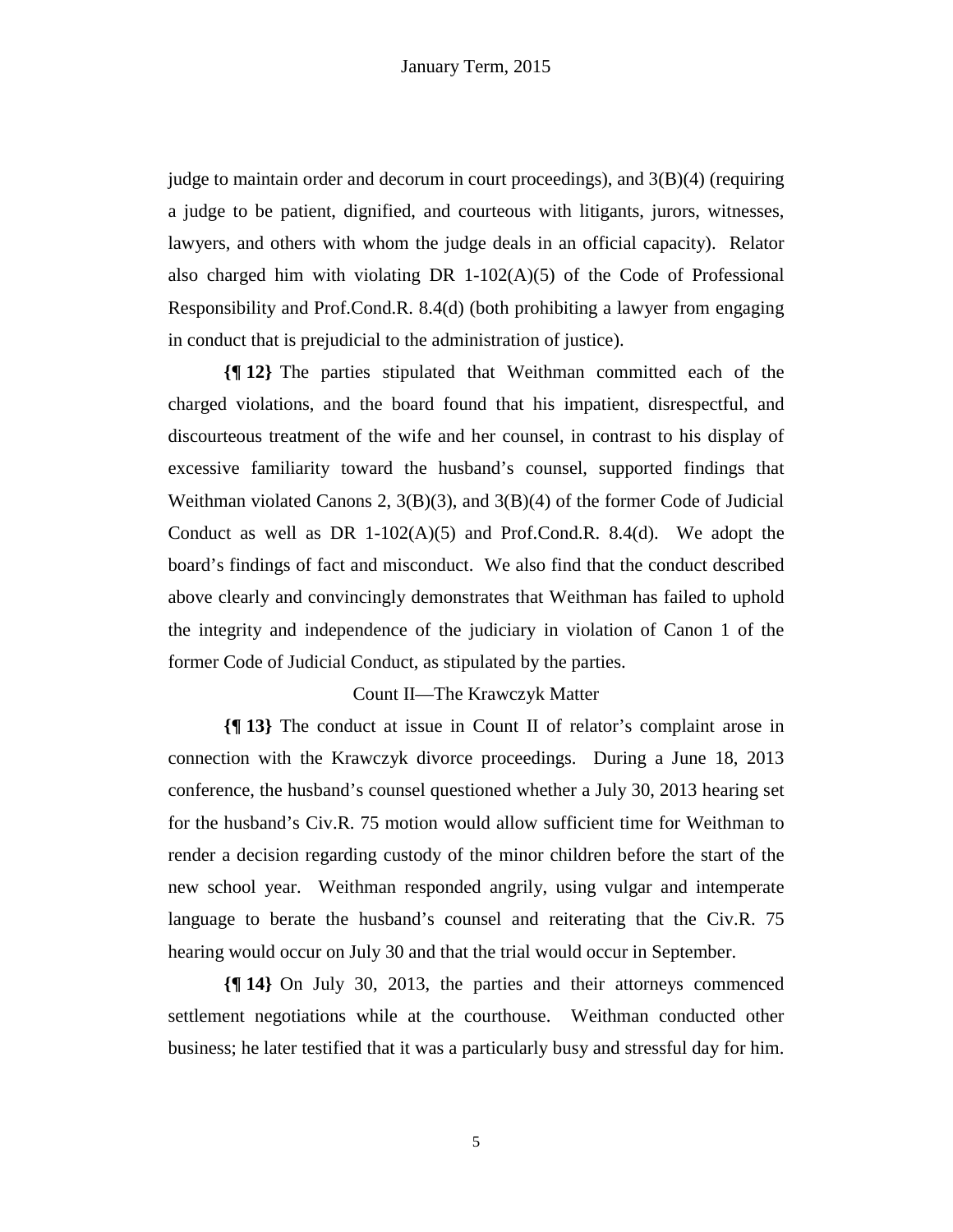judge to maintain order and decorum in court proceedings), and 3(B)(4) (requiring a judge to be patient, dignified, and courteous with litigants, jurors, witnesses, lawyers, and others with whom the judge deals in an official capacity). Relator also charged him with violating DR  $1-102(A)(5)$  of the Code of Professional Responsibility and Prof.Cond.R. 8.4(d) (both prohibiting a lawyer from engaging in conduct that is prejudicial to the administration of justice).

**{¶ 12}** The parties stipulated that Weithman committed each of the charged violations, and the board found that his impatient, disrespectful, and discourteous treatment of the wife and her counsel, in contrast to his display of excessive familiarity toward the husband's counsel, supported findings that Weithman violated Canons 2,  $3(B)(3)$ , and  $3(B)(4)$  of the former Code of Judicial Conduct as well as DR  $1-102(A)(5)$  and Prof.Cond.R. 8.4(d). We adopt the board's findings of fact and misconduct. We also find that the conduct described above clearly and convincingly demonstrates that Weithman has failed to uphold the integrity and independence of the judiciary in violation of Canon 1 of the former Code of Judicial Conduct, as stipulated by the parties.

### Count II—The Krawczyk Matter

**{¶ 13}** The conduct at issue in Count II of relator's complaint arose in connection with the Krawczyk divorce proceedings. During a June 18, 2013 conference, the husband's counsel questioned whether a July 30, 2013 hearing set for the husband's Civ.R. 75 motion would allow sufficient time for Weithman to render a decision regarding custody of the minor children before the start of the new school year. Weithman responded angrily, using vulgar and intemperate language to berate the husband's counsel and reiterating that the Civ.R. 75 hearing would occur on July 30 and that the trial would occur in September.

**{¶ 14}** On July 30, 2013, the parties and their attorneys commenced settlement negotiations while at the courthouse. Weithman conducted other business; he later testified that it was a particularly busy and stressful day for him.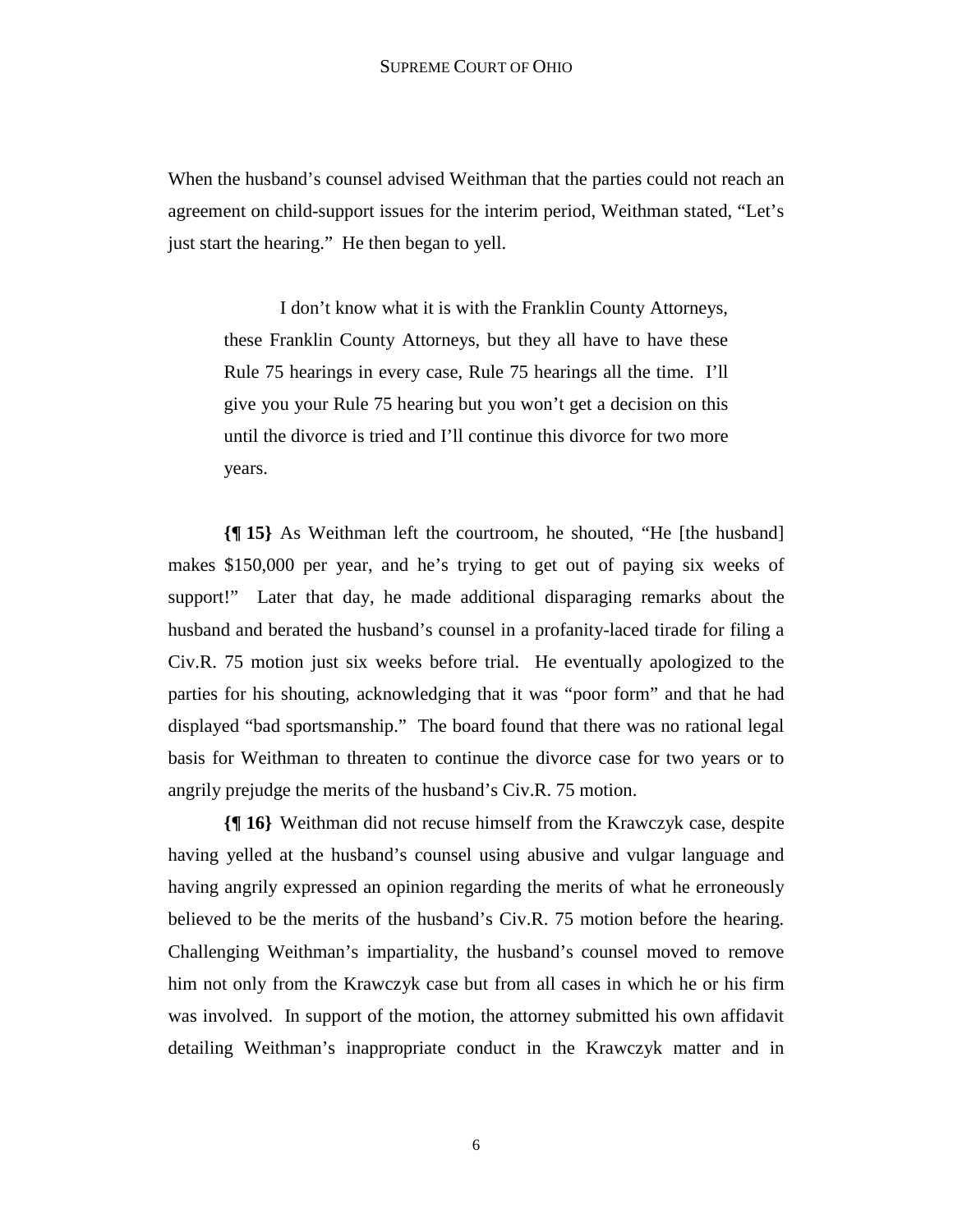When the husband's counsel advised Weithman that the parties could not reach an agreement on child-support issues for the interim period, Weithman stated, "Let's just start the hearing." He then began to yell.

I don't know what it is with the Franklin County Attorneys, these Franklin County Attorneys, but they all have to have these Rule 75 hearings in every case, Rule 75 hearings all the time. I'll give you your Rule 75 hearing but you won't get a decision on this until the divorce is tried and I'll continue this divorce for two more years.

**{¶ 15}** As Weithman left the courtroom, he shouted, "He [the husband] makes \$150,000 per year, and he's trying to get out of paying six weeks of support!" Later that day, he made additional disparaging remarks about the husband and berated the husband's counsel in a profanity-laced tirade for filing a Civ.R. 75 motion just six weeks before trial. He eventually apologized to the parties for his shouting, acknowledging that it was "poor form" and that he had displayed "bad sportsmanship." The board found that there was no rational legal basis for Weithman to threaten to continue the divorce case for two years or to angrily prejudge the merits of the husband's Civ.R. 75 motion.

**{¶ 16}** Weithman did not recuse himself from the Krawczyk case, despite having yelled at the husband's counsel using abusive and vulgar language and having angrily expressed an opinion regarding the merits of what he erroneously believed to be the merits of the husband's Civ.R. 75 motion before the hearing. Challenging Weithman's impartiality, the husband's counsel moved to remove him not only from the Krawczyk case but from all cases in which he or his firm was involved. In support of the motion, the attorney submitted his own affidavit detailing Weithman's inappropriate conduct in the Krawczyk matter and in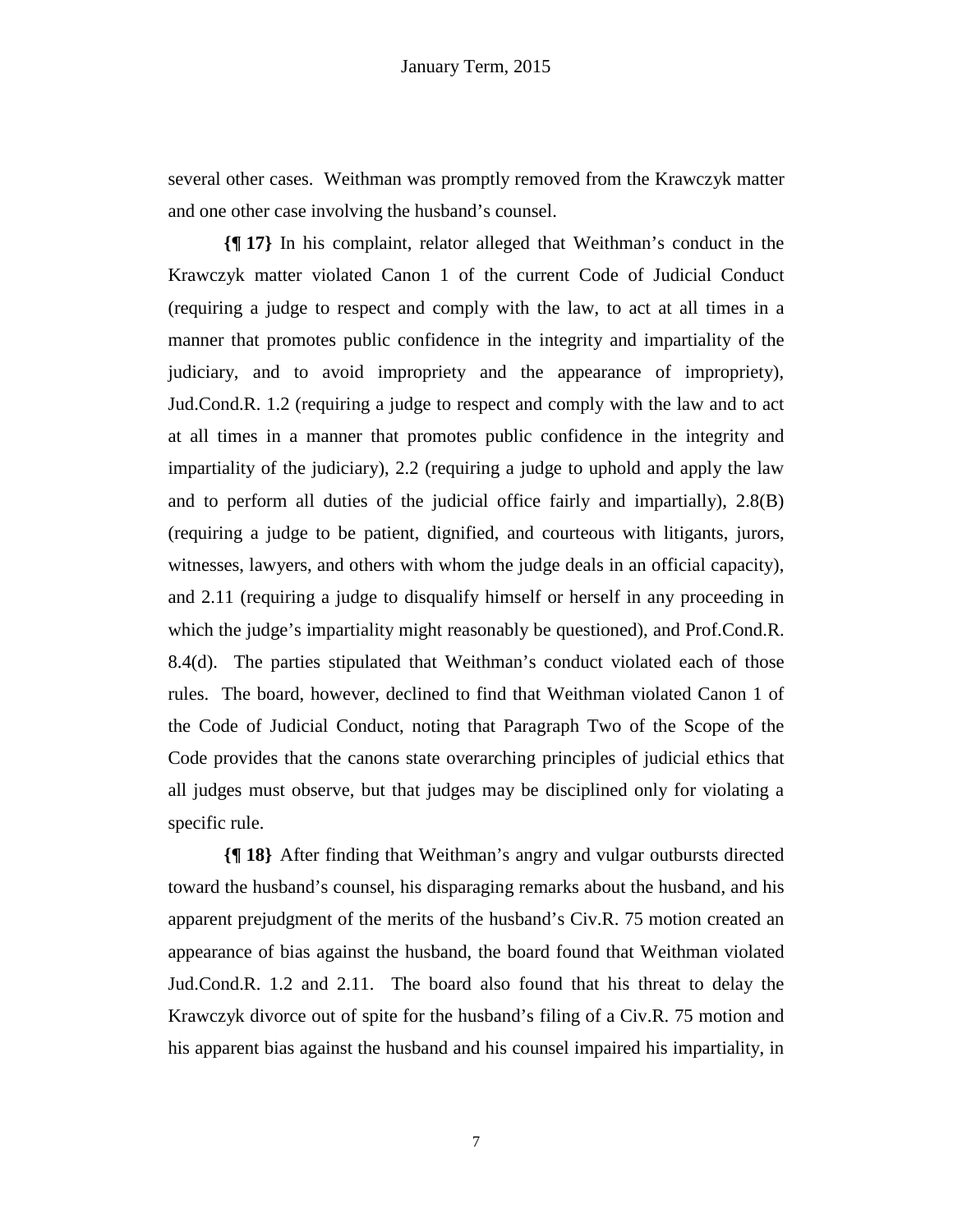several other cases. Weithman was promptly removed from the Krawczyk matter and one other case involving the husband's counsel.

**{¶ 17}** In his complaint, relator alleged that Weithman's conduct in the Krawczyk matter violated Canon 1 of the current Code of Judicial Conduct (requiring a judge to respect and comply with the law, to act at all times in a manner that promotes public confidence in the integrity and impartiality of the judiciary, and to avoid impropriety and the appearance of impropriety), Jud.Cond.R. 1.2 (requiring a judge to respect and comply with the law and to act at all times in a manner that promotes public confidence in the integrity and impartiality of the judiciary), 2.2 (requiring a judge to uphold and apply the law and to perform all duties of the judicial office fairly and impartially), 2.8(B) (requiring a judge to be patient, dignified, and courteous with litigants, jurors, witnesses, lawyers, and others with whom the judge deals in an official capacity), and 2.11 (requiring a judge to disqualify himself or herself in any proceeding in which the judge's impartiality might reasonably be questioned), and Prof.Cond.R. 8.4(d). The parties stipulated that Weithman's conduct violated each of those rules. The board, however, declined to find that Weithman violated Canon 1 of the Code of Judicial Conduct, noting that Paragraph Two of the Scope of the Code provides that the canons state overarching principles of judicial ethics that all judges must observe, but that judges may be disciplined only for violating a specific rule.

**{¶ 18}** After finding that Weithman's angry and vulgar outbursts directed toward the husband's counsel, his disparaging remarks about the husband, and his apparent prejudgment of the merits of the husband's Civ.R. 75 motion created an appearance of bias against the husband, the board found that Weithman violated Jud.Cond.R. 1.2 and 2.11. The board also found that his threat to delay the Krawczyk divorce out of spite for the husband's filing of a Civ.R. 75 motion and his apparent bias against the husband and his counsel impaired his impartiality, in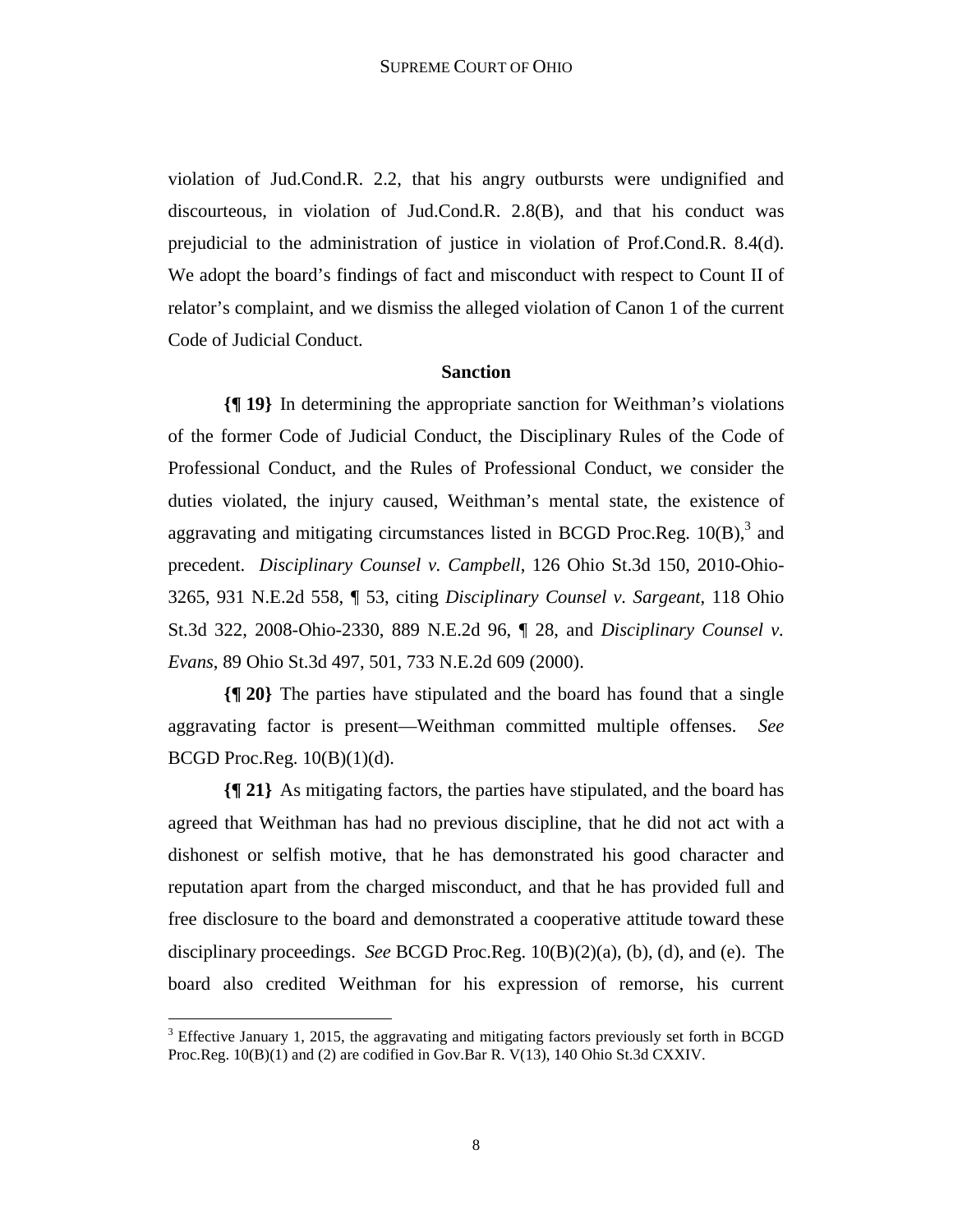violation of Jud.Cond.R. 2.2, that his angry outbursts were undignified and discourteous, in violation of Jud.Cond.R. 2.8(B), and that his conduct was prejudicial to the administration of justice in violation of Prof.Cond.R. 8.4(d). We adopt the board's findings of fact and misconduct with respect to Count II of relator's complaint, and we dismiss the alleged violation of Canon 1 of the current Code of Judicial Conduct.

## **Sanction**

**{¶ 19}** In determining the appropriate sanction for Weithman's violations of the former Code of Judicial Conduct, the Disciplinary Rules of the Code of Professional Conduct, and the Rules of Professional Conduct, we consider the duties violated, the injury caused, Weithman's mental state, the existence of aggravating and mitigating circumstances listed in BCGD Proc.Reg.  $10(B)$ ,<sup>3</sup> and precedent. *Disciplinary Counsel v. Campbell*, 126 Ohio St.3d 150, 2010-Ohio-3265, 931 N.E.2d 558, ¶ 53, citing *Disciplinary Counsel v. Sargeant*, 118 Ohio St.3d 322, 2008-Ohio-2330, 889 N.E.2d 96, ¶ 28, and *Disciplinary Counsel v. Evans*, 89 Ohio St.3d 497, 501, 733 N.E.2d 609 (2000).

**{¶ 20}** The parties have stipulated and the board has found that a single aggravating factor is present—Weithman committed multiple offenses. *See* BCGD Proc.Reg.  $10(B)(1)(d)$ .

**{¶ 21}** As mitigating factors, the parties have stipulated, and the board has agreed that Weithman has had no previous discipline, that he did not act with a dishonest or selfish motive, that he has demonstrated his good character and reputation apart from the charged misconduct, and that he has provided full and free disclosure to the board and demonstrated a cooperative attitude toward these disciplinary proceedings. *See* BCGD Proc.Reg. 10(B)(2)(a), (b), (d), and (e). The board also credited Weithman for his expression of remorse, his current

 $\overline{a}$ 

 $3$  Effective January 1, 2015, the aggravating and mitigating factors previously set forth in BCGD Proc.Reg. 10(B)(1) and (2) are codified in Gov.Bar R. V(13), 140 Ohio St.3d CXXIV.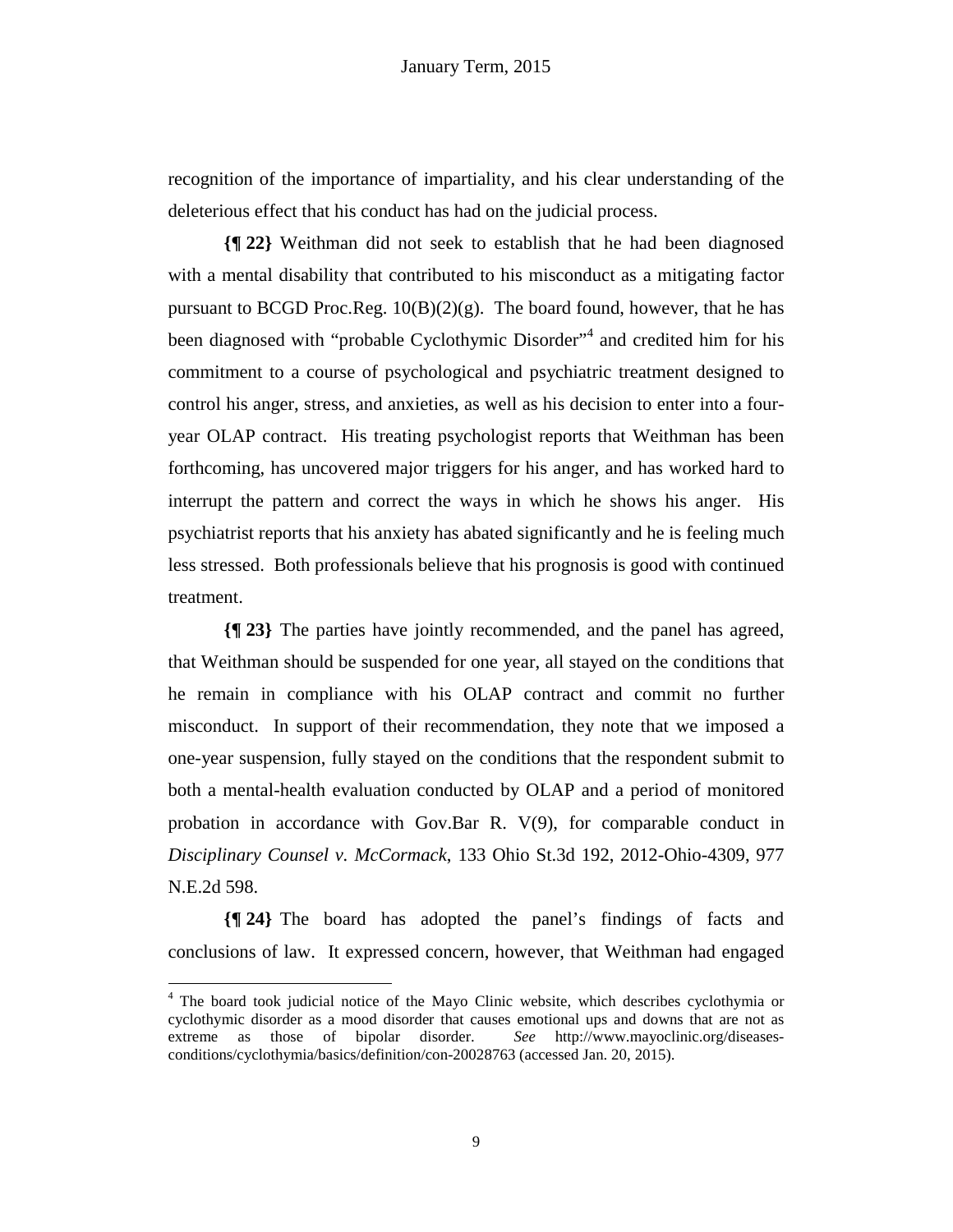recognition of the importance of impartiality, and his clear understanding of the deleterious effect that his conduct has had on the judicial process.

**{¶ 22}** Weithman did not seek to establish that he had been diagnosed with a mental disability that contributed to his misconduct as a mitigating factor pursuant to BCGD Proc.Reg.  $10(B)(2)(g)$ . The board found, however, that he has been diagnosed with "probable Cyclothymic Disorder"<sup>4</sup> and credited him for his commitment to a course of psychological and psychiatric treatment designed to control his anger, stress, and anxieties, as well as his decision to enter into a fouryear OLAP contract. His treating psychologist reports that Weithman has been forthcoming, has uncovered major triggers for his anger, and has worked hard to interrupt the pattern and correct the ways in which he shows his anger. His psychiatrist reports that his anxiety has abated significantly and he is feeling much less stressed. Both professionals believe that his prognosis is good with continued treatment.

**{¶ 23}** The parties have jointly recommended, and the panel has agreed, that Weithman should be suspended for one year, all stayed on the conditions that he remain in compliance with his OLAP contract and commit no further misconduct. In support of their recommendation, they note that we imposed a one-year suspension, fully stayed on the conditions that the respondent submit to both a mental-health evaluation conducted by OLAP and a period of monitored probation in accordance with Gov.Bar R. V(9), for comparable conduct in *Disciplinary Counsel v. McCormack*, 133 Ohio St.3d 192, 2012-Ohio-4309, 977 N.E.2d 598.

**{¶ 24}** The board has adopted the panel's findings of facts and conclusions of law. It expressed concern, however, that Weithman had engaged

 $\overline{a}$ 

<sup>&</sup>lt;sup>4</sup> The board took judicial notice of the Mayo Clinic website, which describes cyclothymia or cyclothymic disorder as a mood disorder that causes emotional ups and downs that are not as extreme as those of bipolar disorder. *See* http://www.mayoclinic.org/diseasesconditions/cyclothymia/basics/definition/con-20028763 (accessed Jan. 20, 2015).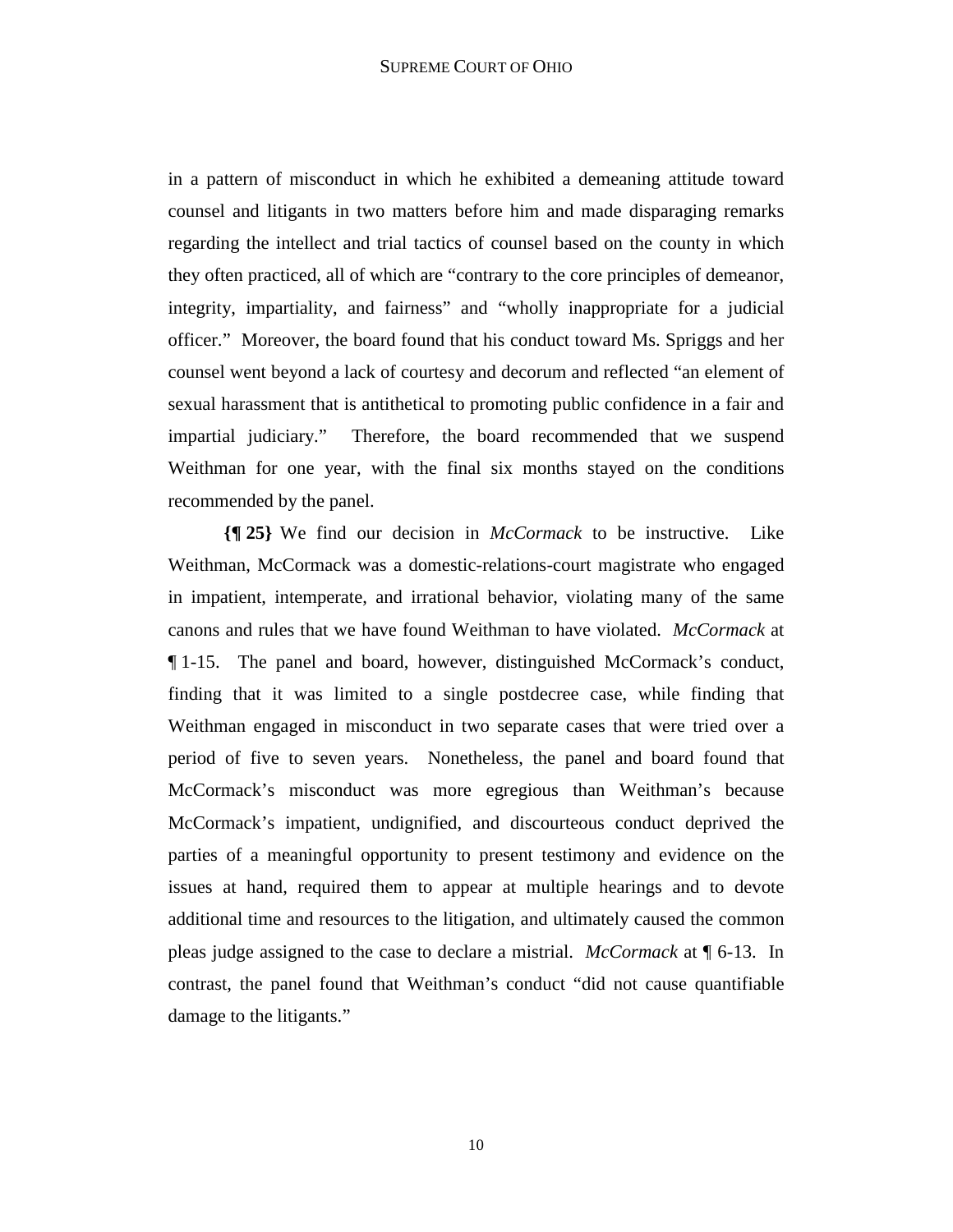in a pattern of misconduct in which he exhibited a demeaning attitude toward counsel and litigants in two matters before him and made disparaging remarks regarding the intellect and trial tactics of counsel based on the county in which they often practiced, all of which are "contrary to the core principles of demeanor, integrity, impartiality, and fairness" and "wholly inappropriate for a judicial officer." Moreover, the board found that his conduct toward Ms. Spriggs and her counsel went beyond a lack of courtesy and decorum and reflected "an element of sexual harassment that is antithetical to promoting public confidence in a fair and impartial judiciary." Therefore, the board recommended that we suspend Weithman for one year, with the final six months stayed on the conditions recommended by the panel.

**{¶ 25}** We find our decision in *McCormack* to be instructive. Like Weithman, McCormack was a domestic-relations-court magistrate who engaged in impatient, intemperate, and irrational behavior, violating many of the same canons and rules that we have found Weithman to have violated. *McCormack* at ¶ 1-15. The panel and board, however, distinguished McCormack's conduct, finding that it was limited to a single postdecree case, while finding that Weithman engaged in misconduct in two separate cases that were tried over a period of five to seven years. Nonetheless, the panel and board found that McCormack's misconduct was more egregious than Weithman's because McCormack's impatient, undignified, and discourteous conduct deprived the parties of a meaningful opportunity to present testimony and evidence on the issues at hand, required them to appear at multiple hearings and to devote additional time and resources to the litigation, and ultimately caused the common pleas judge assigned to the case to declare a mistrial. *McCormack* at ¶ 6-13. In contrast, the panel found that Weithman's conduct "did not cause quantifiable damage to the litigants."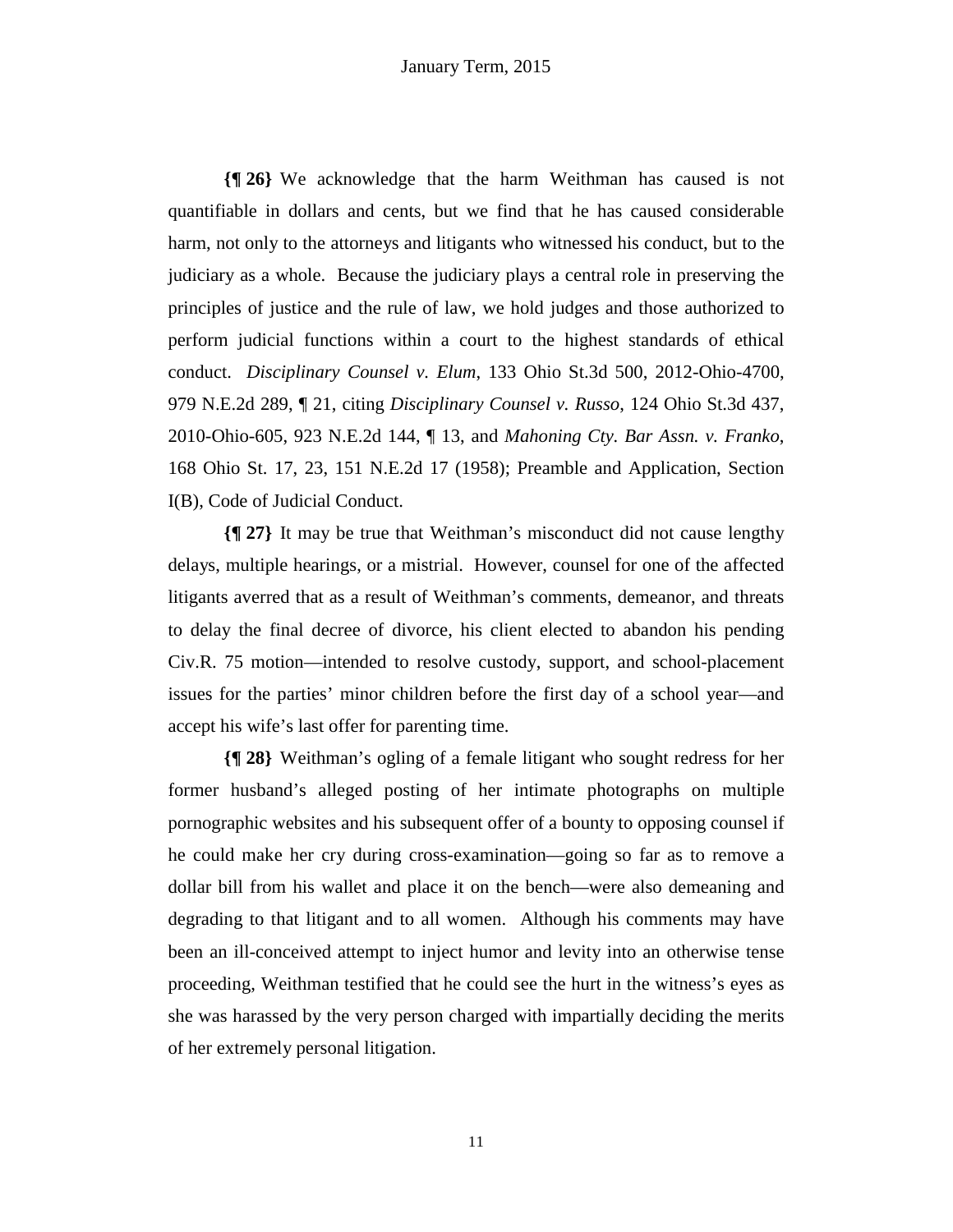**{¶ 26}** We acknowledge that the harm Weithman has caused is not quantifiable in dollars and cents, but we find that he has caused considerable harm, not only to the attorneys and litigants who witnessed his conduct, but to the judiciary as a whole. Because the judiciary plays a central role in preserving the principles of justice and the rule of law, we hold judges and those authorized to perform judicial functions within a court to the highest standards of ethical conduct. *Disciplinary Counsel v. Elum*, 133 Ohio St.3d 500, 2012-Ohio-4700, 979 N.E.2d 289, ¶ 21, citing *Disciplinary Counsel v. Russo*, 124 Ohio St.3d 437, 2010-Ohio-605, 923 N.E.2d 144, ¶ 13, and *Mahoning Cty. Bar Assn. v. Franko*, 168 Ohio St. 17, 23, 151 N.E.2d 17 (1958); Preamble and Application, Section I(B), Code of Judicial Conduct.

**{¶ 27}** It may be true that Weithman's misconduct did not cause lengthy delays, multiple hearings, or a mistrial. However, counsel for one of the affected litigants averred that as a result of Weithman's comments, demeanor, and threats to delay the final decree of divorce, his client elected to abandon his pending Civ.R. 75 motion—intended to resolve custody, support, and school-placement issues for the parties' minor children before the first day of a school year—and accept his wife's last offer for parenting time.

**{¶ 28}** Weithman's ogling of a female litigant who sought redress for her former husband's alleged posting of her intimate photographs on multiple pornographic websites and his subsequent offer of a bounty to opposing counsel if he could make her cry during cross-examination—going so far as to remove a dollar bill from his wallet and place it on the bench—were also demeaning and degrading to that litigant and to all women. Although his comments may have been an ill-conceived attempt to inject humor and levity into an otherwise tense proceeding, Weithman testified that he could see the hurt in the witness's eyes as she was harassed by the very person charged with impartially deciding the merits of her extremely personal litigation.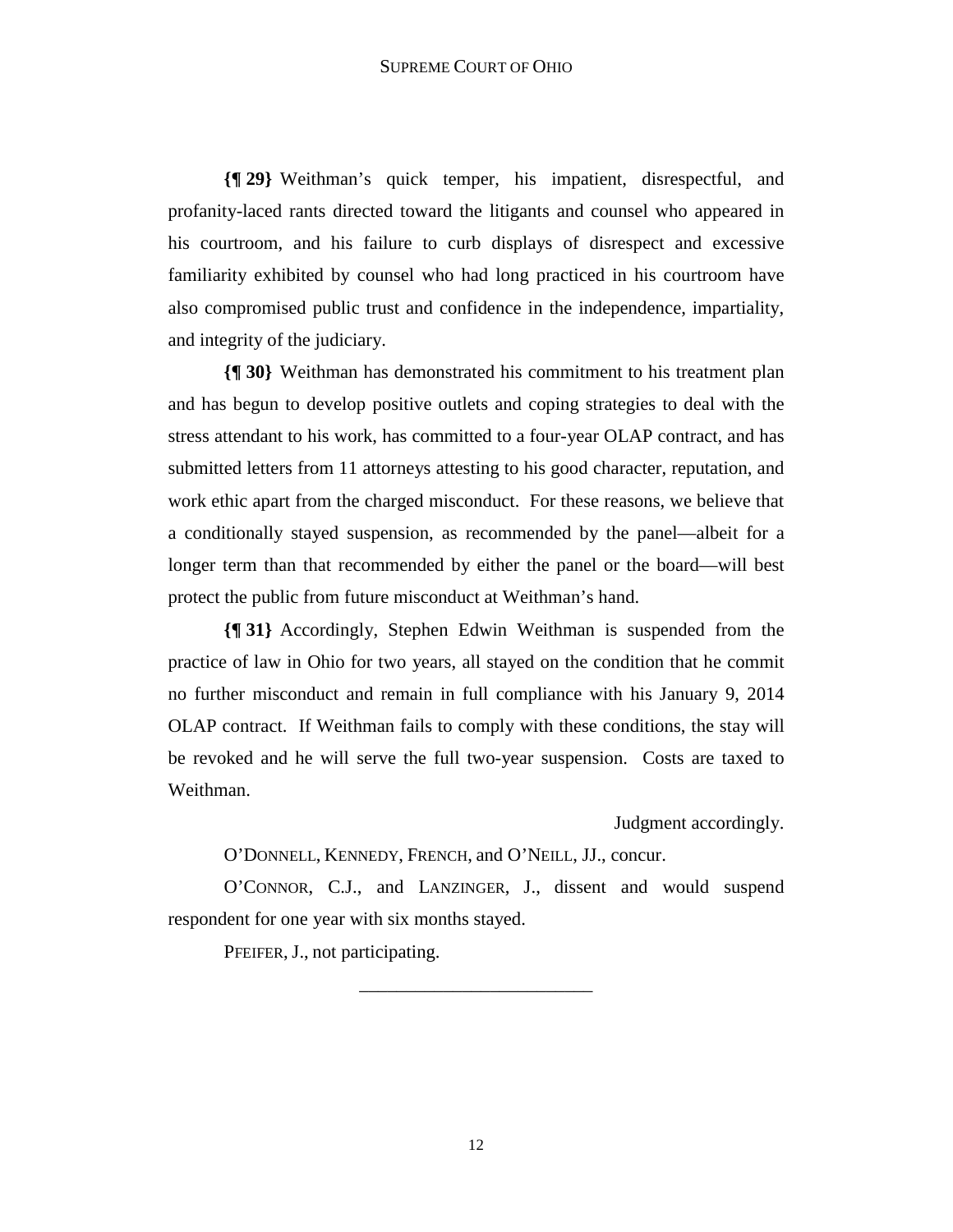**{¶ 29}** Weithman's quick temper, his impatient, disrespectful, and profanity-laced rants directed toward the litigants and counsel who appeared in his courtroom, and his failure to curb displays of disrespect and excessive familiarity exhibited by counsel who had long practiced in his courtroom have also compromised public trust and confidence in the independence, impartiality, and integrity of the judiciary.

**{¶ 30}** Weithman has demonstrated his commitment to his treatment plan and has begun to develop positive outlets and coping strategies to deal with the stress attendant to his work, has committed to a four-year OLAP contract, and has submitted letters from 11 attorneys attesting to his good character, reputation, and work ethic apart from the charged misconduct. For these reasons, we believe that a conditionally stayed suspension, as recommended by the panel—albeit for a longer term than that recommended by either the panel or the board—will best protect the public from future misconduct at Weithman's hand.

**{¶ 31}** Accordingly, Stephen Edwin Weithman is suspended from the practice of law in Ohio for two years, all stayed on the condition that he commit no further misconduct and remain in full compliance with his January 9, 2014 OLAP contract. If Weithman fails to comply with these conditions, the stay will be revoked and he will serve the full two-year suspension. Costs are taxed to Weithman.

Judgment accordingly.

O'DONNELL, KENNEDY, FRENCH, and O'NEILL, JJ., concur.

O'CONNOR, C.J., and LANZINGER, J., dissent and would suspend respondent for one year with six months stayed.

\_\_\_\_\_\_\_\_\_\_\_\_\_\_\_\_\_\_\_\_\_\_\_\_\_

PFEIFER, J., not participating.